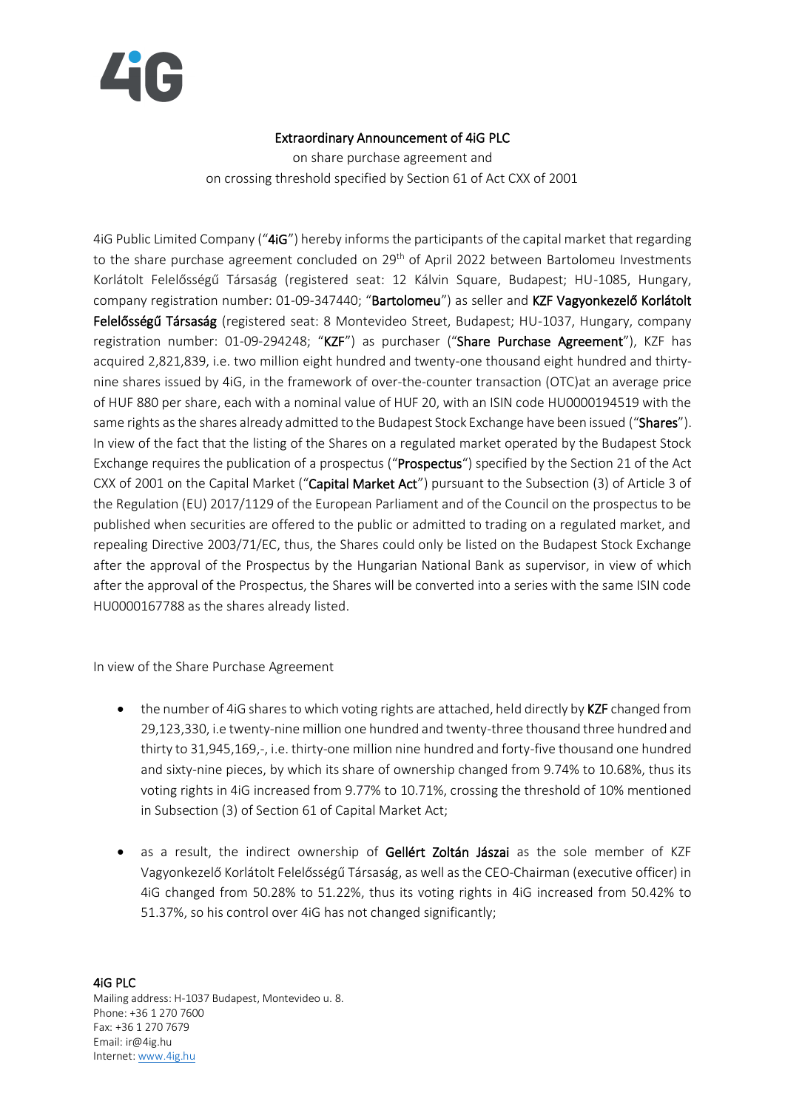

## Extraordinary Announcement of 4iG PLC

on share purchase agreement and on crossing threshold specified by Section 61 of Act CXX of 2001

4iG Public Limited Company ("4iG") hereby informs the participants of the capital market that regarding to the share purchase agreement concluded on 29<sup>th</sup> of April 2022 between Bartolomeu Investments Korlátolt Felelősségű Társaság (registered seat: 12 Kálvin Square, Budapest; HU-1085, Hungary, company registration number: 01-09-347440; "Bartolomeu") as seller and KZF Vagyonkezelő Korlátolt Felelősségű Társaság (registered seat: 8 Montevideo Street, Budapest; HU-1037, Hungary, company registration number: 01-09-294248; "KZF") as purchaser ("Share Purchase Agreement"), KZF has acquired 2,821,839, i.e. two million eight hundred and twenty-one thousand eight hundred and thirtynine shares issued by 4iG, in the framework of over-the-counter transaction (OTC)at an average price of HUF 880 per share, each with a nominal value of HUF 20, with an ISIN code HU0000194519 with the same rights as the shares already admitted to the Budapest Stock Exchange have been issued ("Shares"). In view of the fact that the listing of the Shares on a regulated market operated by the Budapest Stock Exchange requires the publication of a prospectus ("Prospectus") specified by the Section 21 of the Act CXX of 2001 on the Capital Market ("Capital Market Act") pursuant to the Subsection (3) of Article 3 of the Regulation (EU) 2017/1129 of the European Parliament and of the Council on the prospectus to be published when securities are offered to the public or admitted to trading on a regulated market, and repealing Directive 2003/71/EC, thus, the Shares could only be listed on the Budapest Stock Exchange after the approval of the Prospectus by the Hungarian National Bank as supervisor, in view of which after the approval of the Prospectus, the Shares will be converted into a series with the same ISIN code HU0000167788 as the shares already listed.

In view of the Share Purchase Agreement

- the number of 4iG shares to which voting rights are attached, held directly by KZF changed from 29,123,330, i.e twenty-nine million one hundred and twenty-three thousand three hundred and thirty to 31,945,169,-, i.e. thirty-one million nine hundred and forty-five thousand one hundred and sixty-nine pieces, by which its share of ownership changed from 9.74% to 10.68%, thus its voting rights in 4iG increased from 9.77% to 10.71%, crossing the threshold of 10% mentioned in Subsection (3) of Section 61 of Capital Market Act;
- as a result, the indirect ownership of Gellért Zoltán Jászai as the sole member of KZF Vagyonkezelő Korlátolt Felelősségű Társaság, as well asthe CEO-Chairman (executive officer) in 4iG changed from 50.28% to 51.22%, thus its voting rights in 4iG increased from 50.42% to 51.37%, so his control over 4iG has not changed significantly;